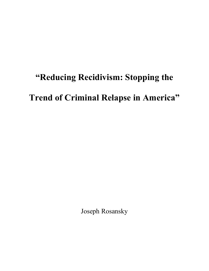## **"Reducing Recidivism: Stopping the**

## **Trend of Criminal Relapse in America"**

Joseph Rosansky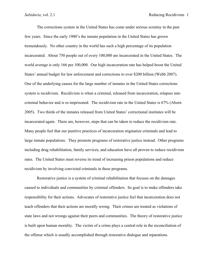The corrections system in the United States has come under serious scrutiny in the past few years. Since the early 1900's the inmate population in the United States has grown tremendously. No other country in the world has such a high percentage of its population incarcerated. About 750 people out of every 100,000 are incarcerated in the United States. The world average is only 166 per 100,000. Our high incarceration rate has helped boost the United States' annual budget for law enforcement and corrections to over \$200 billion (Webb 2007). One of the underlying causes for the large number of inmates in the United States corrections system is recidivism. Recidivism is when a criminal, released from incarceration, relapses into criminal behavior and is re-imprisoned. The recidivism rate in the United States is 67% (Aborn 2005). Two thirds of the inmates released from United States' correctional institutes will be incarcerated again. There are, however, steps that can be taken to reduce the recidivism rate. Many people feel that our punitive practices of incarceration stigmatize criminals and lead to large inmate populations. They promote programs of restorative justice instead. Other programs including drug rehabilitation, family services, and education have all proven to reduce recidivism rates. The United States must reverse its trend of increasing prison populations and reduce recidivism by involving convicted criminals in these programs.

Restorative justice is a system of criminal rehabilitation that focuses on the damages caused to individuals and communities by criminal offenders. Its goal is to make offenders take responsibility for their actions. Advocates of restorative justice feel that incarceration does not teach offenders that their actions are morally wrong. Their crimes are treated as violations of state laws and not wrongs against their peers and communities. The theory of restorative justice is built upon human morality. The victim of a crime plays a central role in the reconciliation of the offense which is usually accomplished through restorative dialogue and reparations.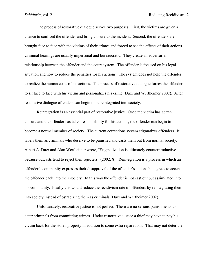The process of restorative dialogue serves two purposes. First, the victims are given a chance to confront the offender and bring closure to the incident. Second, the offenders are brought face to face with the victims of their crimes and forced to see the effects of their actions. Criminal hearings are usually impersonal and bureaucratic. They create an adversarial relationship between the offender and the court system. The offender is focused on his legal situation and how to reduce the penalties for his actions. The system does not help the offender to realize the human costs of his actions. The process of restorative dialogue forces the offender to sit face to face with his victim and personalizes his crime (Duzr and Wertheimer 2002). After restorative dialogue offenders can begin to be reintegrated into society.

Reintegration is an essential part of restorative justice. Once the victim has gotten closure and the offender has taken responsibility for his actions, the offender can begin to become a normal member of society. The current corrections system stigmatizes offenders. It labels them as criminals who deserve to be punished and casts them out from normal society. Albert A. Duzr and Alan Wertheimer wrote, "Stigmatization is ultimately counterproductive because outcasts tend to reject their rejecters" (2002: 8). Reintegration is a process in which an offender's community expresses their disapproval of the offender's actions but agrees to accept the offender back into their society. In this way the offender is not cast out but assimilated into his community. Ideally this would reduce the recidivism rate of offenders by reintegrating them into society instead of ostracizing them as criminals (Duzr and Wertheimer 2002).

Unfortunately, restorative justice is not perfect. There are no serious punishments to deter criminals from committing crimes. Under restorative justice a thief may have to pay his victim back for the stolen property in addition to some extra reparations. That may not deter the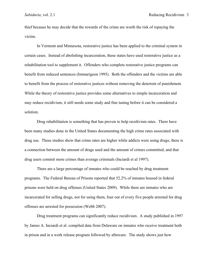thief because he may decide that the rewards of the crime are worth the risk of repaying the victim.

In Vermont and Minnesota, restorative justice has been applied to the criminal system in certain cases. Instead of abolishing incarceration, these states have used restorative justice as a rehabilitation tool to supplement it. Offenders who complete restorative justice programs can benefit from reduced sentences (Immarigeon 1995). Both the offenders and the victims are able to benefit from the process of restorative justices without removing the deterrent of punishment. While the theory of restorative justice provides some alternatives to simple incarceration and may reduce recidivism, it still needs some study and fine tuning before it can be considered a solution.

Drug rehabilitation is something that has proven to help recidivism rates. There have been many studies done in the United States documenting the high crime rates associated with drug use. These studies show that crime rates are higher while addicts were using drugs; there is a connection between the amount of drugs used and the amount of crimes committed, and that drug users commit more crimes than average criminals (Inciardi et al 1997).

There are a large percentage of inmates who could be reached by drug treatment programs. The Federal Bureau of Prisons reported that 52.2% of inmates housed in federal prisons were held on drug offenses (United States 2009). While there are inmates who are incarcerated for selling drugs, not for using them, four out of every five people arrested for drug offenses are arrested for possession (Webb 2007).

Drug treatment programs can significantly reduce recidivism. A study published in 1997 by James A. Inciardi et al. compiled data from Delaware on inmates who receive treatment both in prison and in a work release program followed by aftercare. The study shows just how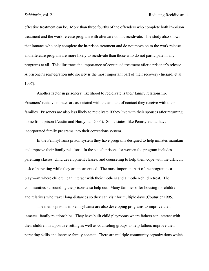effective treatment can be. More than three fourths of the offenders who complete both in-prison treatment and the work release program with aftercare do not recidivate. The study also shows that inmates who only complete the in-prison treatment and do not move on to the work release and aftercare program are more likely to recidivate than those who do not participate in any programs at all. This illustrates the importance of continued treatment after a prisoner's release. A prisoner's reintegration into society is the most important part of their recovery (Inciardi et al 1997).

Another factor in prisoners' likelihood to recidivate is their family relationship. Prisoners' recidivism rates are associated with the amount of contact they receive with their families. Prisoners are also less likely to recidivate if they live with their spouses after returning home from prison (Austin and Hardyman 2004). Some states, like Pennsylvania, have incorporated family programs into their corrections system.

In the Pennsylvania prison system they have programs designed to help inmates maintain and improve their family relations. In the state's prisons for women the program includes parenting classes, child development classes, and counseling to help them cope with the difficult task of parenting while they are incarcerated. The most important part of the program is a playroom where children can interact with their mothers and a mother-child retreat. The communities surrounding the prisons also help out. Many families offer housing for children and relatives who travel long distances so they can visit for multiple days (Couturier 1995).

The men's prisons in Pennsylvania are also developing programs to improve their inmates' family relationships. They have built child playrooms where fathers can interact with their children in a positive setting as well as counseling groups to help fathers improve their parenting skills and increase family contact. There are multiple community organizations which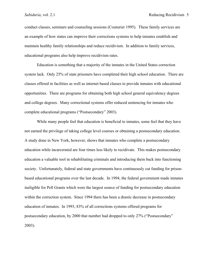conduct classes, seminars and counseling sessions (Couturier 1995). These family services are an example of how states can improve their corrections systems to help inmates establish and maintain healthy family relationships and reduce recidivism. In addition to family services, educational programs also help improve recidivism rates.

Education is something that a majority of the inmates in the United States correction system lack. Only 25% of state prisoners have completed their high school education. There are classes offered in facilities as well as internet based classes to provide inmates with educational opportunities. There are programs for obtaining both high school general equivalency degrees and college degrees. Many correctional systems offer reduced sentencing for inmates who complete educational programs ("Postsecondary" 2003).

While many people feel that education is beneficial to inmates, some feel that they have not earned the privilege of taking college level courses or obtaining a postsecondary education. A study done in New York, however, shows that inmates who complete a postsecondary education while incarcerated are four times less likely to recidivate. This makes postsecondary education a valuable tool in rehabilitating criminals and introducing them back into functioning society. Unfortunately, federal and state governments have continuously cut funding for prisonbased educational programs over the last decade. In 1994, the federal government made inmates ineligible for Pell Grants which were the largest source of funding for postsecondary education within the correction system. Since 1994 there has been a drastic decrease in postsecondary education of inmates. In 1993, 83% of all corrections systems offered programs for postsecondary education, by 2000 that number had dropped to only 27% ("Postsecondary" 2003).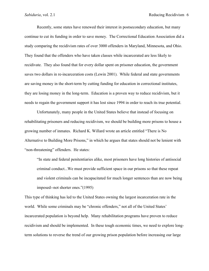Recently, some states have renewed their interest in postsecondary education, but many continue to cut its funding in order to save money. The Correctional Education Association did a study comparing the recidivism rates of over 3000 offenders in Maryland, Minnesota, and Ohio. They found that the offenders who have taken classes while incarcerated are less likely to recidivate. They also found that for every dollar spent on prisoner education, the government saves two dollars in re-incarceration costs (Lewin 2001). While federal and state governments are saving money in the short-term by cutting funding for education in correctional institutes, they are losing money in the long-term. Education is a proven way to reduce recidivism, but it needs to regain the government support it has lost since 1994 in order to reach its true potential.

Unfortunately, many people in the United States believe that instead of focusing on rehabilitating prisoners and reducing recidivism, we should be building more prisons to house a growing number of inmates. Richard K. Willard wrote an article entitled "There is No Alternative to Building More Prisons," in which he argues that states should not be lenient with "non-threatening" offenders. He states:

"In state and federal penitentiaries alike, most prisoners have long histories of antisocial criminal conduct...We must provide sufficient space in our prisons so that these repeat and violent criminals can be incapacitated for much longer sentences than are now being imposed--not shorter ones."(1995)

This type of thinking has led to the United States owning the largest incarceration rate in the world. While some criminals may be "chronic offenders," not all of the United States' incarcerated population is beyond help. Many rehabilitation programs have proven to reduce recidivism and should be implemented. In these tough economic times, we need to explore longterm solutions to reverse the trend of our growing prison population before increasing our large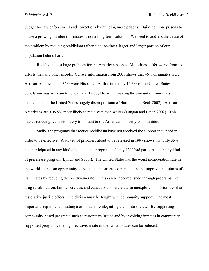budget for law enforcement and corrections by building more prisons. Building more prisons to house a growing number of inmates is not a long-term solution. We need to address the cause of the problem by reducing recidivism rather than locking a larger and larger portion of our population behind bars.

Recidivism is a huge problem for the American people. Minorities suffer worse from its effects than any other people. Census information from 2001 shows that 46% of inmates were African-American and 36% were Hispanic. At that time only 12.3% of the United States population was African-American and 12.6% Hispanic, making the amount of minorities incarcerated in the United States hugely disproportionate (Harrison and Beck 2002). African-Americans are also 5% more likely to recidivate than whites (Langan and Levin 2002). This makes reducing recidivism very important to the American minority communities.

Sadly, the programs that reduce recidivism have not received the support they need in order to be effective. A survey of prisoners about to be released in 1997 shows that only 35% had participated in any kind of educational program and only 13% had participated in any kind of prerelease program (Lynch and Sabol). The United States has the worst incarceration rate in the world. It has an opportunity to reduce its incarcerated population and improve the futures of its inmates by reducing the recidivism rates. This can be accomplished through programs like drug rehabilitation, family services, and education. There are also unexplored opportunities that restorative justice offers. Recidivism must be fought with community support. The most important step in rehabilitating a criminal is reintegrating them into society. By supporting community-based programs such as restorative justice and by involving inmates in community supported programs, the high recidivism rate in the United States can be reduced.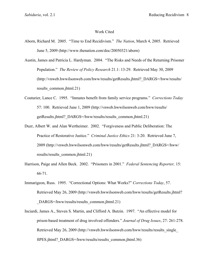## Work Cited

Aborn, Richard M. 2005. "Time to End Recidivism." *The Nation*, March 4, 2005. Retrieved June 5, 2009 (http://www.thenation.com/doc/20050321/aborn)

Austin, James and Patricia L. Hardyman. 2004. "The Risks and Needs of the Returning Prisoner Population." *The Review of Policy Research* 21.1: 13-29. Retrieved May 30, 2009 (http://vnweb.hwwilsonweb.com/hww/results/getResults.jhtml?\_DARGS=/hww/results/ results\_common.jhtml.21)

- Couturier, Lance C. 1995. "Inmates benefit from family service programs." *Corrections Today* 57: 100. Retrieved June 1, 2009 (http://vnweb.hwwilsonweb.com/hww/results/ getResults.jhtml? DARGS=/hww/results/results common.jhtml.21)
- Duzr, Albert W. and Alan Wertheimer. 2002. "Forgiveness and Public Deliberation: The Practice of Restorative Justice." *Criminal Justice Ethics* 21: 3-20. Retrieved June 7, 2009 (http://vnweb.hwwilsonweb.com/hww/results/getResults.jhtml?\_DARGS=/hww/ results/results\_common.jhtml.21)
- Harrison, Paige and Allen Beck. 2002. "Prisoners in 2001." *Federal Sentencing Reporter,* 15: 66-71.
- Immarigeon, Russ. 1995. "Correctional Options: What Works?" *Corrections Today*, 57. Retrieved May 26, 2009 (http://vnweb.hwwilsonweb.com/hww/results/getResults.jhtml? DARGS=/hww/results/results\_common.jhtml.21)
- Inciardi, James A., Steven S. Martin, and Clifford A. Butzin. 1997. "An effective model for prison-based treatment of drug involved offenders." *Journal of Drug Issues*, 27: 261-278. Retrieved May 26, 2009 (http://vnweb.hwwilsonweb.com/hww/results/results\_single\_ ftPES.jhtml? DARGS=/hww/results/results\_common.jhtml.36)